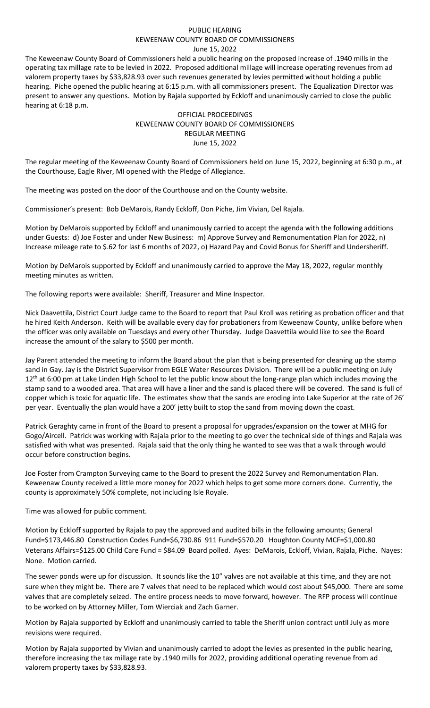## PUBLIC HEARING KEWEENAW COUNTY BOARD OF COMMISSIONERS June 15, 2022

The Keweenaw County Board of Commissioners held a public hearing on the proposed increase of .1940 mills in the operating tax millage rate to be levied in 2022. Proposed additional millage will increase operating revenues from ad valorem property taxes by \$33,828.93 over such revenues generated by levies permitted without holding a public hearing. Piche opened the public hearing at 6:15 p.m. with all commissioners present. The Equalization Director was present to answer any questions. Motion by Rajala supported by Eckloff and unanimously carried to close the public hearing at 6:18 p.m.

## OFFICIAL PROCEEDINGS KEWEENAW COUNTY BOARD OF COMMISSIONERS REGULAR MEETING June 15, 2022

The regular meeting of the Keweenaw County Board of Commissioners held on June 15, 2022, beginning at 6:30 p.m., at the Courthouse, Eagle River, MI opened with the Pledge of Allegiance.

The meeting was posted on the door of the Courthouse and on the County website.

Commissioner's present: Bob DeMarois, Randy Eckloff, Don Piche, Jim Vivian, Del Rajala.

Motion by DeMarois supported by Eckloff and unanimously carried to accept the agenda with the following additions under Guests: d) Joe Foster and under New Business: m) Approve Survey and Remonumentation Plan for 2022, n) Increase mileage rate to \$.62 for last 6 months of 2022, o) Hazard Pay and Covid Bonus for Sheriff and Undersheriff.

Motion by DeMarois supported by Eckloff and unanimously carried to approve the May 18, 2022, regular monthly meeting minutes as written.

The following reports were available: Sheriff, Treasurer and Mine Inspector.

Nick Daavettila, District Court Judge came to the Board to report that Paul Kroll was retiring as probation officer and that he hired Keith Anderson. Keith will be available every day for probationers from Keweenaw County, unlike before when the officer was only available on Tuesdays and every other Thursday. Judge Daavettila would like to see the Board increase the amount of the salary to \$500 per month.

Jay Parent attended the meeting to inform the Board about the plan that is being presented for cleaning up the stamp sand in Gay. Jay is the District Supervisor from EGLE Water Resources Division. There will be a public meeting on July  $12<sup>th</sup>$  at 6:00 pm at Lake Linden High School to let the public know about the long-range plan which includes moving the stamp sand to a wooded area. That area will have a liner and the sand is placed there will be covered. The sand is full of copper which is toxic for aquatic life. The estimates show that the sands are eroding into Lake Superior at the rate of 26' per year. Eventually the plan would have a 200' jetty built to stop the sand from moving down the coast.

Patrick Geraghty came in front of the Board to present a proposal for upgrades/expansion on the tower at MHG for Gogo/Aircell. Patrick was working with Rajala prior to the meeting to go over the technical side of things and Rajala was satisfied with what was presented. Rajala said that the only thing he wanted to see was that a walk through would occur before construction begins.

Joe Foster from Crampton Surveying came to the Board to present the 2022 Survey and Remonumentation Plan. Keweenaw County received a little more money for 2022 which helps to get some more corners done. Currently, the county is approximately 50% complete, not including Isle Royale.

Time was allowed for public comment.

Motion by Eckloff supported by Rajala to pay the approved and audited bills in the following amounts; General Fund=\$173,446.80 Construction Codes Fund=\$6,730.86 911 Fund=\$570.20 Houghton County MCF=\$1,000.80 Veterans Affairs=\$125.00 Child Care Fund = \$84.09 Board polled. Ayes: DeMarois, Eckloff, Vivian, Rajala, Piche. Nayes: None. Motion carried.

The sewer ponds were up for discussion. It sounds like the 10" valves are not available at this time, and they are not sure when they might be. There are 7 valves that need to be replaced which would cost about \$45,000. There are some valves that are completely seized. The entire process needs to move forward, however. The RFP process will continue to be worked on by Attorney Miller, Tom Wierciak and Zach Garner.

Motion by Rajala supported by Eckloff and unanimously carried to table the Sheriff union contract until July as more revisions were required.

Motion by Rajala supported by Vivian and unanimously carried to adopt the levies as presented in the public hearing, therefore increasing the tax millage rate by .1940 mills for 2022, providing additional operating revenue from ad valorem property taxes by \$33,828.93.